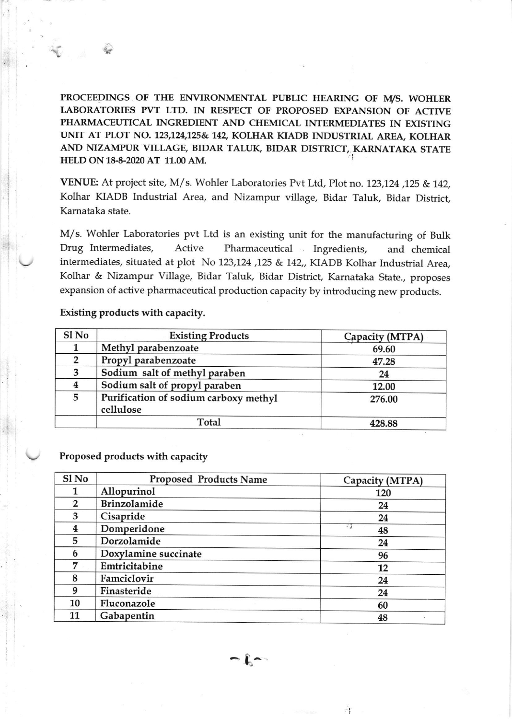PROCEEDINGS OF THE ENVIRONMENTAL PUBLIC HEARING OF M/S. WOHLER LABORATORIES PVT LTD. IN RESPECT OF PROPOSED EXPANSION OF ACTIVE PHARMACEUTICAL INGREDIENT AND CHEMICAL INTERMEDIATES IN EXISTING UNIT AT PLOT NO. 123,124,125& 142, KOLHAR KIADB INDUSTRIAL AREA, KOLHAR AND NIZAMPUR VILLAGE, BIDAR TALUK, BIDAR DISTRICT, KARNATAKA STATE HELD ON 1&8-2020 AT 11.00 AM.

VENUE: At project site, M/s. Wohler Laboratories Pvt Ltd, Plot no. 123,124,125 & 142, Kolhar KIADB Industrial Area, and Nizampur village, Bidar Taluk, Bidar District, Kamataka state.

M/s. Wohler Laboratories pvt Ltd is an existing unit for the manufacturing of Bulk Drug Intermediates, Active Pharmaceutical Ingredients, and chemical intermediates, situated at plot No 123,124, 125 & 142,, KIADB Kolhar Industrial Area, Kolhar & Nizampur Village, Bidar Taluk, Bidar District, Karnataka State., proposes expansion of active pharmaceutical production capacity by introducing new products.

## Existing products with capacity.

| Sl No | <b>Existing Products</b>                           | Capacity (MTPA) |
|-------|----------------------------------------------------|-----------------|
|       | Methyl parabenzoate                                | 69.60           |
| 2     | Propyl parabenzoate                                | 47.28           |
| 3     | Sodium salt of methyl paraben                      | 24              |
|       | Sodium salt of propyl paraben                      | 12.00           |
| 5     | Purification of sodium carboxy methyl<br>cellulose | 276.00          |
|       | Total                                              | 428.88          |

## Proposed products with capacity

| Sl No          | <b>Proposed Products Name</b> | Capacity (MTPA) |  |
|----------------|-------------------------------|-----------------|--|
| 1              | Allopurinol                   | 120             |  |
| $\overline{2}$ | <b>Brinzolamide</b>           | 24              |  |
| 3              | Cisapride                     | 24              |  |
| 4              | Domperidone                   | 71<br>48        |  |
| 5              | Dorzolamide                   | 24              |  |
| 6              | Doxylamine succinate          | 96              |  |
| 7              | Emtricitabine                 | 12              |  |
| 8              | Famciclovir                   | 24              |  |
| 9              | Finasteride                   | 24              |  |
| 10             | Fluconazole                   | 60              |  |
| 11             | Gabapentin<br>1.14            | 48              |  |

 $\mathfrak{k}$  -

Á,